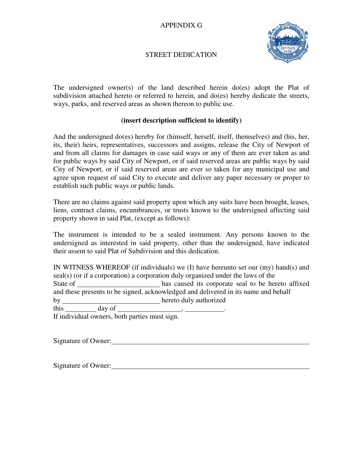## APPENDIX G



## STREET DEDICATION

The undersigned owner(s) of the land described herein do(es) adopt the Plat of subdivision attached hereto or referred to herein, and do(es) hereby dedicate the streets, ways, parks, and reserved areas as shown thereon to public use.

## **(insert description sufficient to identify)**

And the undersigned do(es) hereby for (himself, herself, itself, themselves) and (his, her, its, their) heirs, representatives, successors and assigns, release the City of Newport of and from all claims for damages in case said ways or any of them are ever taken as and for public ways by said City of Newport, or if said reserved areas are public ways by said City of Newport, or if said reserved areas are ever so taken for any municipal use and agree upon request of said City to execute and deliver any paper necessary or proper to establish such public ways or public lands.

There are no claims against said property upon which any suits have been brought, leases, liens, contract claims, encumbrances, or trusts known to the undersigned affecting said property shown in said Plat, (except as follows):

The instrument is intended to be a sealed instrument. Any persons known to the undersigned as interested in said property, other than the undersigned, have indicated their assent to said Plat of Subdivision and this dedication.

IN WITNESS WHEREOF (if individuals) we (I) have hereunto set our (my) hand(s) and seal(s) (or if a corporation) a corporation duly organized under the laws of the State of **has caused** its corporate seal to be hereto affixed and these presents to be signed, acknowledged and delivered in its name and behalf by hereto duly authorized this day of ,

If individual owners, both parties must sign.

Signature of Owner:

Signature of Owner: